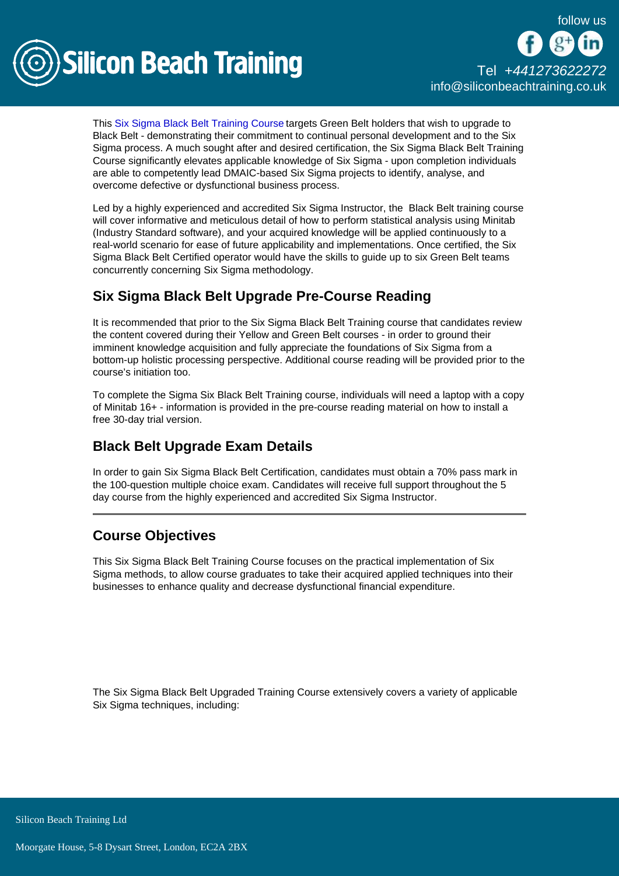

This [Six Sigma Black Belt Training Course](/six-sigma-training/six-sigma-black-belt-certification) targets Green Belt holders that wish to upgrade to Black Belt - demonstrating their commitment to continual personal development and to the Six Sigma process. A much sought after and desired certification, the Six Sigma Black Belt Training Course significantly elevates applicable knowledge of Six Sigma - upon completion individuals are able to competently lead DMAIC-based Six Sigma projects to identify, analyse, and overcome defective or dysfunctional business process.

Led by a highly experienced and accredited Six Sigma Instructor, the Black Belt training course will cover informative and meticulous detail of how to perform statistical analysis using Minitab (Industry Standard software), and your acquired knowledge will be applied continuously to a real-world scenario for ease of future applicability and implementations. Once certified, the Six Sigma Black Belt Certified operator would have the skills to guide up to six Green Belt teams concurrently concerning Six Sigma methodology.

## Six Sigma Black Belt Upgrade Pre-Course Reading

It is recommended that prior to the Six Sigma Black Belt Training course that candidates review the content covered during their Yellow and Green Belt courses - in order to ground their imminent knowledge acquisition and fully appreciate the foundations of Six Sigma from a bottom-up holistic processing perspective. Additional course reading will be provided prior to the course's initiation too.

To complete the Sigma Six Black Belt Training course, individuals will need a laptop with a copy of Minitab 16+ - information is provided in the pre-course reading material on how to install a free 30-day trial version.

## Black Belt Upgrade Exam Details

In order to gain Six Sigma Black Belt Certification, candidates must obtain a 70% pass mark in the 100-question multiple choice exam. Candidates will receive full support throughout the 5 day course from the highly experienced and accredited Six Sigma Instructor.

## Course Objectives

This Six Sigma Black Belt Training Course focuses on the practical implementation of Six Sigma methods, to allow course graduates to take their acquired applied techniques into their businesses to enhance quality and decrease dysfunctional financial expenditure.

The Six Sigma Black Belt Upgraded Training Course extensively covers a variety of applicable Six Sigma techniques, including:

Silicon Beach Training Ltd